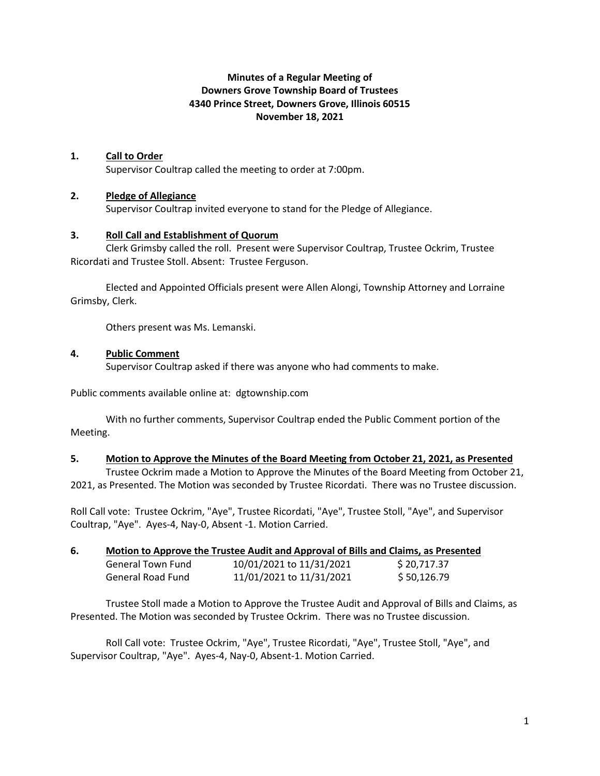# **Minutes of a Regular Meeting of Downers Grove Township Board of Trustees 4340 Prince Street, Downers Grove, Illinois 60515 November 18, 2021**

## **1. Call to Order**

Supervisor Coultrap called the meeting to order at 7:00pm.

### **2. Pledge of Allegiance**

Supervisor Coultrap invited everyone to stand for the Pledge of Allegiance.

#### **3. Roll Call and Establishment of Quorum**

Clerk Grimsby called the roll. Present were Supervisor Coultrap, Trustee Ockrim, Trustee Ricordati and Trustee Stoll. Absent: Trustee Ferguson.

Elected and Appointed Officials present were Allen Alongi, Township Attorney and Lorraine Grimsby, Clerk.

Others present was Ms. Lemanski.

### **4. Public Comment**

Supervisor Coultrap asked if there was anyone who had comments to make.

Public comments available online at: dgtownship.com

With no further comments, Supervisor Coultrap ended the Public Comment portion of the Meeting.

#### **5. Motion to Approve the Minutes of the Board Meeting from October 21, 2021, as Presented**

Trustee Ockrim made a Motion to Approve the Minutes of the Board Meeting from October 21, 2021, as Presented. The Motion was seconded by Trustee Ricordati. There was no Trustee discussion.

Roll Call vote: Trustee Ockrim, "Aye", Trustee Ricordati, "Aye", Trustee Stoll, "Aye", and Supervisor Coultrap, "Aye". Ayes-4, Nay-0, Absent -1. Motion Carried.

| 6. | Motion to Approve the Trustee Audit and Approval of Bills and Claims, as Presented |                          |             |
|----|------------------------------------------------------------------------------------|--------------------------|-------------|
|    | General Town Fund                                                                  | 10/01/2021 to 11/31/2021 | \$20,717.37 |
|    | General Road Fund                                                                  | 11/01/2021 to 11/31/2021 | \$50,126.79 |

Trustee Stoll made a Motion to Approve the Trustee Audit and Approval of Bills and Claims, as Presented. The Motion was seconded by Trustee Ockrim. There was no Trustee discussion.

Roll Call vote: Trustee Ockrim, "Aye", Trustee Ricordati, "Aye", Trustee Stoll, "Aye", and Supervisor Coultrap, "Aye". Ayes-4, Nay-0, Absent-1. Motion Carried.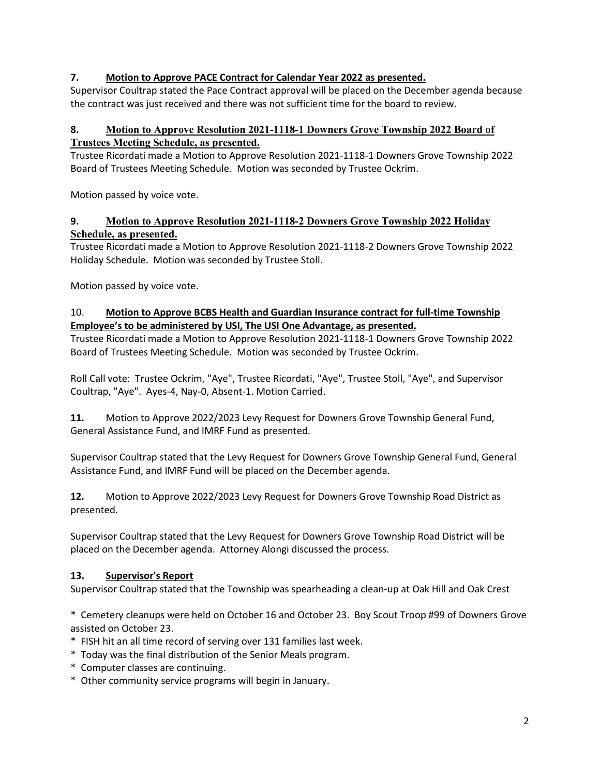# **7. Motion to Approve PACE Contract for Calendar Year 2022 as presented.**

Supervisor Coultrap stated the Pace Contract approval will be placed on the December agenda because the contract was just received and there was not sufficient time for the board to review.

# **8. Motion to Approve Resolution 2021-1118-1 Downers Grove Township 2022 Board of Trustees Meeting Schedule, as presented.**

Trustee Ricordati made a Motion to Approve Resolution 2021-1118-1 Downers Grove Township 2022 Board of Trustees Meeting Schedule. Motion was seconded by Trustee Ockrim.

Motion passed by voice vote.

# **9. Motion to Approve Resolution 2021-1118-2 Downers Grove Township 2022 Holiday Schedule, as presented.**

Trustee Ricordati made a Motion to Approve Resolution 2021-1118-2 Downers Grove Township 2022 Holiday Schedule. Motion was seconded by Trustee Stoll.

Motion passed by voice vote.

# 10. **Motion to Approve BCBS Health and Guardian Insurance contract for full-time Township Employee's to be administered by USI, The USI One Advantage, as presented.**

Trustee Ricordati made a Motion to Approve Resolution 2021-1118-1 Downers Grove Township 2022 Board of Trustees Meeting Schedule. Motion was seconded by Trustee Ockrim.

Roll Call vote: Trustee Ockrim, "Aye", Trustee Ricordati, "Aye", Trustee Stoll, "Aye", and Supervisor Coultrap, "Aye". Ayes-4, Nay-0, Absent-1. Motion Carried.

**11.** Motion to Approve 2022/2023 Levy Request for Downers Grove Township General Fund, General Assistance Fund, and IMRF Fund as presented.

Supervisor Coultrap stated that the Levy Request for Downers Grove Township General Fund, General Assistance Fund, and IMRF Fund will be placed on the December agenda.

**12.** Motion to Approve 2022/2023 Levy Request for Downers Grove Township Road District as presented.

Supervisor Coultrap stated that the Levy Request for Downers Grove Township Road District will be placed on the December agenda. Attorney Alongi discussed the process.

## **13. Supervisor's Report**

Supervisor Coultrap stated that the Township was spearheading a clean-up at Oak Hill and Oak Crest

\* Cemetery cleanups were held on October 16 and October 23. Boy Scout Troop #99 of Downers Grove assisted on October 23.

- \* FISH hit an all time record of serving over 131 families last week.
- \* Today was the final distribution of the Senior Meals program.
- \* Computer classes are continuing.
- \* Other community service programs will begin in January.